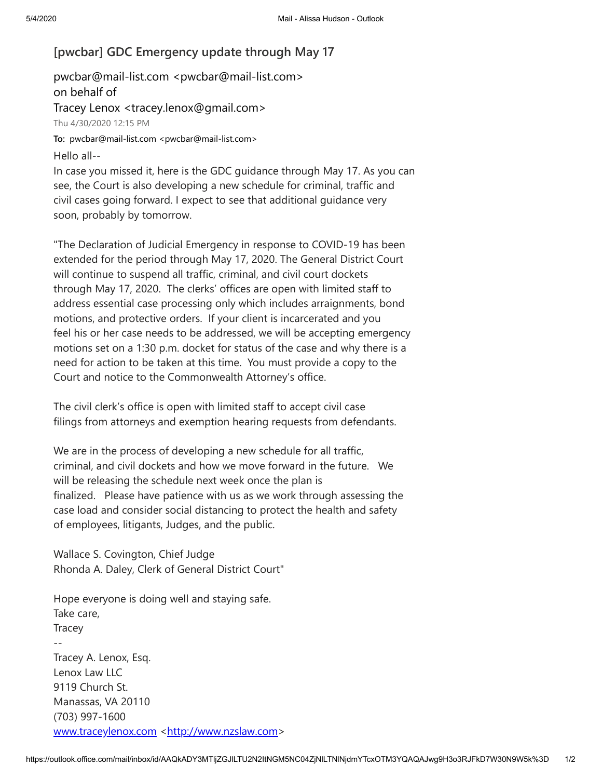## **[pwcbar] GDC Emergency update through May 17**

pwcbar@mail-list.com <pwcbar@mail-list.com> on behalf of Tracey Lenox <tracey.lenox@gmail.com> Thu 4/30/2020 12:15 PM To: pwcbar@mail-list.com <pwcbar@mail-list.com>

Hello all--

In case you missed it, here is the GDC guidance through May 17. As you can see, the Court is also developing a new schedule for criminal, traffic and civil cases going forward. I expect to see that additional guidance very soon, probably by tomorrow.

"The Declaration of Judicial Emergency in response to COVID-19 has been extended for the period through May 17, 2020. The General District Court will continue to suspend all traffic, criminal, and civil court dockets through May 17, 2020. The clerks' offices are open with limited staff to address essential case processing only which includes arraignments, bond motions, and protective orders. If your client is incarcerated and you feel his or her case needs to be addressed, we will be accepting emergency motions set on a 1:30 p.m. docket for status of the case and why there is a need for action to be taken at this time. You must provide a copy to the Court and notice to the Commonwealth Attorney's office.

The civil clerk's office is open with limited staff to accept civil case filings from attorneys and exemption hearing requests from defendants.

We are in the process of developing a new schedule for all traffic, criminal, and civil dockets and how we move forward in the future. We will be releasing the schedule next week once the plan is finalized. Please have patience with us as we work through assessing the case load and consider social distancing to protect the health and safety of employees, litigants, Judges, and the public.

Wallace S. Covington, Chief Judge Rhonda A. Daley, Clerk of General District Court"

Hope everyone is doing well and staying safe. Take care, **Tracey** -- Tracey A. Lenox, Esq. Lenox Law LLC 9119 Church St. Manassas, VA 20110 (703) 997-1600 [www.traceylenox.com](http://www.traceylenox.com/) [<http://www.nzslaw.com](http://www.nzslaw.com/)>